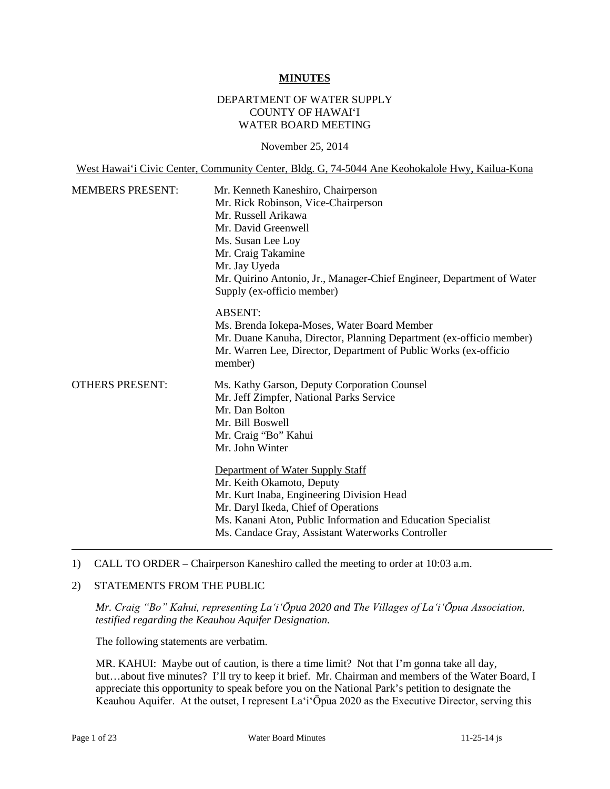#### **MINUTES**

### DEPARTMENT OF WATER SUPPLY COUNTY OF HAWAI'I WATER BOARD MEETING

#### November 25, 2014

West Hawai'i Civic Center, Community Center, Bldg. G, 74-5044 Ane Keohokalole Hwy, Kailua-Kona

| <b>MEMBERS PRESENT:</b> | Mr. Kenneth Kaneshiro, Chairperson<br>Mr. Rick Robinson, Vice-Chairperson<br>Mr. Russell Arikawa<br>Mr. David Greenwell<br>Ms. Susan Lee Loy<br>Mr. Craig Takamine<br>Mr. Jay Uyeda<br>Mr. Quirino Antonio, Jr., Manager-Chief Engineer, Department of Water<br>Supply (ex-officio member) |
|-------------------------|--------------------------------------------------------------------------------------------------------------------------------------------------------------------------------------------------------------------------------------------------------------------------------------------|
|                         | <b>ABSENT:</b><br>Ms. Brenda Jokepa-Moses, Water Board Member<br>Mr. Duane Kanuha, Director, Planning Department (ex-officio member)<br>Mr. Warren Lee, Director, Department of Public Works (ex-officio<br>member)                                                                        |
| <b>OTHERS PRESENT:</b>  | Ms. Kathy Garson, Deputy Corporation Counsel<br>Mr. Jeff Zimpfer, National Parks Service<br>Mr. Dan Bolton<br>Mr. Bill Boswell<br>Mr. Craig "Bo" Kahui<br>Mr. John Winter                                                                                                                  |
|                         | Department of Water Supply Staff<br>Mr. Keith Okamoto, Deputy<br>Mr. Kurt Inaba, Engineering Division Head<br>Mr. Daryl Ikeda, Chief of Operations<br>Ms. Kanani Aton, Public Information and Education Specialist<br>Ms. Candace Gray, Assistant Waterworks Controller                    |

#### 1) CALL TO ORDER – Chairperson Kaneshiro called the meeting to order at 10:03 a.m.

#### 2) STATEMENTS FROM THE PUBLIC

*Mr. Craig "Bo" Kahui, representing La'i'Ōpua 2020 and The Villages of La'i'Ōpua Association, testified regarding the Keauhou Aquifer Designation.*

The following statements are verbatim.

MR. KAHUI: Maybe out of caution, is there a time limit? Not that I'm gonna take all day, but…about five minutes? I'll try to keep it brief. Mr. Chairman and members of the Water Board, I appreciate this opportunity to speak before you on the National Park's petition to designate the Keauhou Aquifer. At the outset, I represent La'i'Ōpua 2020 as the Executive Director, serving this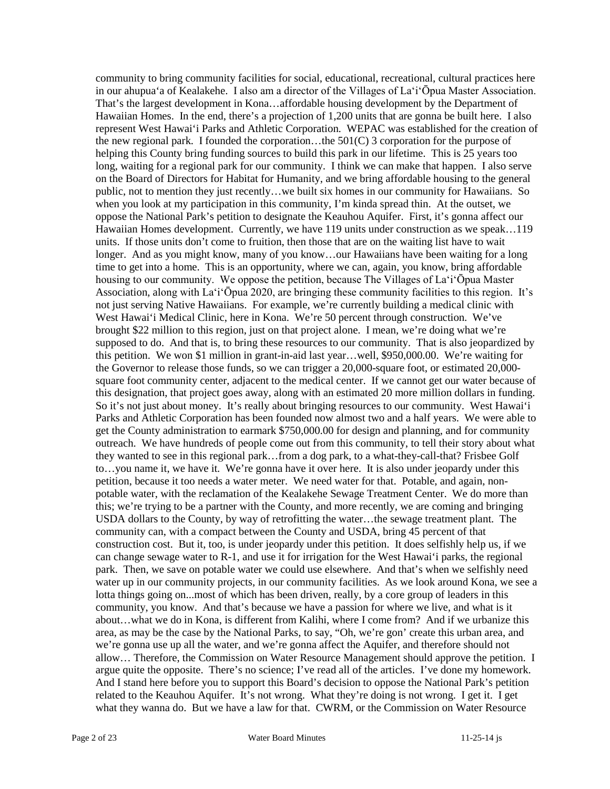community to bring community facilities for social, educational, recreational, cultural practices here in our ahupua'a of Kealakehe. I also am a director of the Villages of La'i'Ōpua Master Association. That's the largest development in Kona…affordable housing development by the Department of Hawaiian Homes. In the end, there's a projection of 1,200 units that are gonna be built here. I also represent West Hawai'i Parks and Athletic Corporation. WEPAC was established for the creation of the new regional park. I founded the corporation...the  $501(C)$  3 corporation for the purpose of helping this County bring funding sources to build this park in our lifetime. This is 25 years too long, waiting for a regional park for our community. I think we can make that happen. I also serve on the Board of Directors for Habitat for Humanity, and we bring affordable housing to the general public, not to mention they just recently…we built six homes in our community for Hawaiians. So when you look at my participation in this community, I'm kinda spread thin. At the outset, we oppose the National Park's petition to designate the Keauhou Aquifer. First, it's gonna affect our Hawaiian Homes development. Currently, we have 119 units under construction as we speak…119 units. If those units don't come to fruition, then those that are on the waiting list have to wait longer. And as you might know, many of you know…our Hawaiians have been waiting for a long time to get into a home. This is an opportunity, where we can, again, you know, bring affordable housing to our community. We oppose the petition, because The Villages of La'i'Ōpua Master Association, along with La'i'Ōpua 2020, are bringing these community facilities to this region. It's not just serving Native Hawaiians. For example, we're currently building a medical clinic with West Hawai'i Medical Clinic, here in Kona. We're 50 percent through construction. We've brought \$22 million to this region, just on that project alone. I mean, we're doing what we're supposed to do. And that is, to bring these resources to our community. That is also jeopardized by this petition. We won \$1 million in grant-in-aid last year…well, \$950,000.00. We're waiting for the Governor to release those funds, so we can trigger a 20,000-square foot, or estimated 20,000 square foot community center, adjacent to the medical center. If we cannot get our water because of this designation, that project goes away, along with an estimated 20 more million dollars in funding. So it's not just about money. It's really about bringing resources to our community. West Hawai'i Parks and Athletic Corporation has been founded now almost two and a half years. We were able to get the County administration to earmark \$750,000.00 for design and planning, and for community outreach. We have hundreds of people come out from this community, to tell their story about what they wanted to see in this regional park…from a dog park, to a what-they-call-that? Frisbee Golf to…you name it, we have it. We're gonna have it over here. It is also under jeopardy under this petition, because it too needs a water meter. We need water for that. Potable, and again, nonpotable water, with the reclamation of the Kealakehe Sewage Treatment Center. We do more than this; we're trying to be a partner with the County, and more recently, we are coming and bringing USDA dollars to the County, by way of retrofitting the water…the sewage treatment plant. The community can, with a compact between the County and USDA, bring 45 percent of that construction cost. But it, too, is under jeopardy under this petition. It does selfishly help us, if we can change sewage water to R-1, and use it for irrigation for the West Hawai'i parks, the regional park. Then, we save on potable water we could use elsewhere. And that's when we selfishly need water up in our community projects, in our community facilities. As we look around Kona, we see a lotta things going on...most of which has been driven, really, by a core group of leaders in this community, you know. And that's because we have a passion for where we live, and what is it about…what we do in Kona, is different from Kalihi, where I come from? And if we urbanize this area, as may be the case by the National Parks, to say, "Oh, we're gon' create this urban area, and we're gonna use up all the water, and we're gonna affect the Aquifer, and therefore should not allow… Therefore, the Commission on Water Resource Management should approve the petition. I argue quite the opposite. There's no science; I've read all of the articles. I've done my homework. And I stand here before you to support this Board's decision to oppose the National Park's petition related to the Keauhou Aquifer. It's not wrong. What they're doing is not wrong. I get it. I get what they wanna do. But we have a law for that. CWRM, or the Commission on Water Resource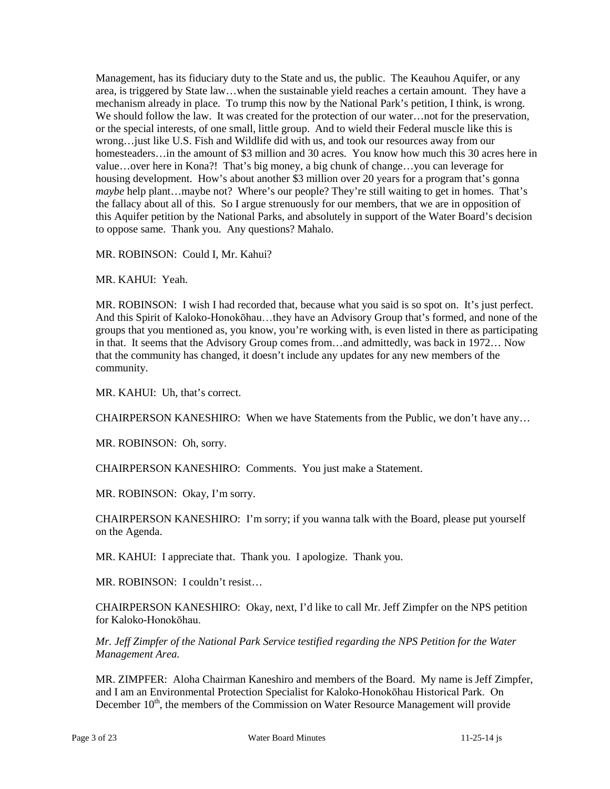Management, has its fiduciary duty to the State and us, the public. The Keauhou Aquifer, or any area, is triggered by State law…when the sustainable yield reaches a certain amount. They have a mechanism already in place. To trump this now by the National Park's petition, I think, is wrong. We should follow the law. It was created for the protection of our water... not for the preservation, or the special interests, of one small, little group. And to wield their Federal muscle like this is wrong…just like U.S. Fish and Wildlife did with us, and took our resources away from our homesteaders...in the amount of \$3 million and 30 acres. You know how much this 30 acres here in value…over here in Kona?! That's big money, a big chunk of change…you can leverage for housing development. How's about another \$3 million over 20 years for a program that's gonna *maybe* help plant…maybe not?Where's our people? They're still waiting to get in homes. That's the fallacy about all of this. So I argue strenuously for our members, that we are in opposition of this Aquifer petition by the National Parks, and absolutely in support of the Water Board's decision to oppose same. Thank you. Any questions? Mahalo.

MR. ROBINSON: Could I, Mr. Kahui?

MR. KAHUI: Yeah.

MR. ROBINSON: I wish I had recorded that, because what you said is so spot on. It's just perfect. And this Spirit of Kaloko-Honokōhau…they have an Advisory Group that's formed, and none of the groups that you mentioned as, you know, you're working with, is even listed in there as participating in that. It seems that the Advisory Group comes from…and admittedly, was back in 1972… Now that the community has changed, it doesn't include any updates for any new members of the community.

MR. KAHUI: Uh, that's correct.

CHAIRPERSON KANESHIRO: When we have Statements from the Public, we don't have any…

MR. ROBINSON: Oh, sorry.

CHAIRPERSON KANESHIRO: Comments. You just make a Statement.

MR. ROBINSON: Okay, I'm sorry.

CHAIRPERSON KANESHIRO: I'm sorry; if you wanna talk with the Board, please put yourself on the Agenda.

MR. KAHUI: I appreciate that. Thank you. I apologize. Thank you.

MR. ROBINSON: I couldn't resist…

CHAIRPERSON KANESHIRO: Okay, next, I'd like to call Mr. Jeff Zimpfer on the NPS petition for Kaloko-Honokōhau.

*Mr. Jeff Zimpfer of the National Park Service testified regarding the NPS Petition for the Water Management Area.*

MR. ZIMPFER: Aloha Chairman Kaneshiro and members of the Board. My name is Jeff Zimpfer, and I am an Environmental Protection Specialist for Kaloko-Honokōhau Historical Park. On December  $10<sup>th</sup>$ , the members of the Commission on Water Resource Management will provide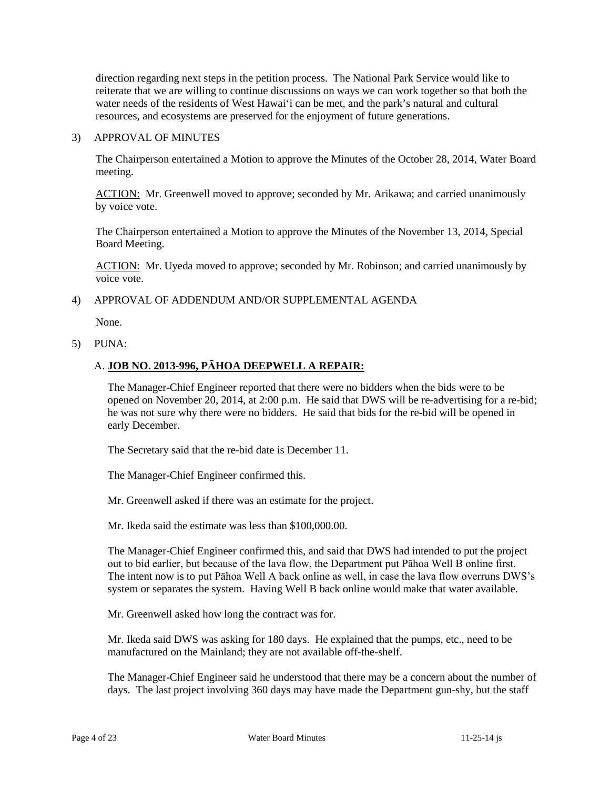direction regarding next steps in the petition process. The National Park Service would like to reiterate that we are willing to continue discussions on ways we can work together so that both the water needs of the residents of West Hawai'i can be met, and the park's natural and cultural resources, and ecosystems are preserved for the enjoyment of future generations.

### 3) APPROVAL OF MINUTES

The Chairperson entertained a Motion to approve the Minutes of the October 28, 2014, Water Board meeting.

ACTION: Mr. Greenwell moved to approve; seconded by Mr. Arikawa; and carried unanimously by voice vote.

The Chairperson entertained a Motion to approve the Minutes of the November 13, 2014, Special Board Meeting.

ACTION: Mr. Uyeda moved to approve; seconded by Mr. Robinson; and carried unanimously by voice vote.

#### 4) APPROVAL OF ADDENDUM AND/OR SUPPLEMENTAL AGENDA

None.

5) PUNA:

### A. **JOB NO. 2013-996, PĀHOA DEEPWELL A REPAIR:**

The Manager-Chief Engineer reported that there were no bidders when the bids were to be opened on November 20, 2014, at 2:00 p.m. He said that DWS will be re-advertising for a re-bid; he was not sure why there were no bidders. He said that bids for the re-bid will be opened in early December.

The Secretary said that the re-bid date is December 11.

The Manager-Chief Engineer confirmed this.

Mr. Greenwell asked if there was an estimate for the project.

Mr. Ikeda said the estimate was less than \$100,000,00.

The Manager-Chief Engineer confirmed this, and said that DWS had intended to put the project out to bid earlier, but because of the lava flow, the Department put Pāhoa Well B online first. The intent now is to put Pāhoa Well A back online as well, in case the lava flow overruns DWS's system or separates the system. Having Well B back online would make that water available.

Mr. Greenwell asked how long the contract was for.

Mr. Ikeda said DWS was asking for 180 days. He explained that the pumps, etc., need to be manufactured on the Mainland; they are not available off-the-shelf.

The Manager-Chief Engineer said he understood that there may be a concern about the number of days. The last project involving 360 days may have made the Department gun-shy, but the staff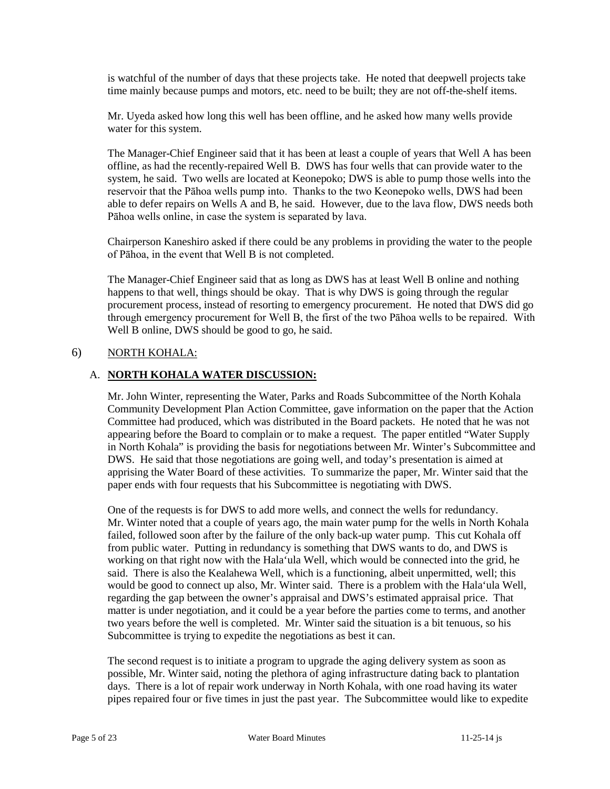is watchful of the number of days that these projects take. He noted that deepwell projects take time mainly because pumps and motors, etc. need to be built; they are not off-the-shelf items.

Mr. Uyeda asked how long this well has been offline, and he asked how many wells provide water for this system.

The Manager-Chief Engineer said that it has been at least a couple of years that Well A has been offline, as had the recently-repaired Well B. DWS has four wells that can provide water to the system, he said. Two wells are located at Keonepoko; DWS is able to pump those wells into the reservoir that the Pāhoa wells pump into. Thanks to the two Keonepoko wells, DWS had been able to defer repairs on Wells A and B, he said. However, due to the lava flow, DWS needs both Pāhoa wells online, in case the system is separated by lava.

Chairperson Kaneshiro asked if there could be any problems in providing the water to the people of Pāhoa, in the event that Well B is not completed.

The Manager-Chief Engineer said that as long as DWS has at least Well B online and nothing happens to that well, things should be okay. That is why DWS is going through the regular procurement process, instead of resorting to emergency procurement. He noted that DWS did go through emergency procurement for Well B, the first of the two Pāhoa wells to be repaired. With Well B online, DWS should be good to go, he said.

### 6) NORTH KOHALA:

### A. **NORTH KOHALA WATER DISCUSSION:**

Mr. John Winter, representing the Water, Parks and Roads Subcommittee of the North Kohala Community Development Plan Action Committee, gave information on the paper that the Action Committee had produced, which was distributed in the Board packets. He noted that he was not appearing before the Board to complain or to make a request. The paper entitled "Water Supply in North Kohala" is providing the basis for negotiations between Mr. Winter's Subcommittee and DWS. He said that those negotiations are going well, and today's presentation is aimed at apprising the Water Board of these activities. To summarize the paper, Mr. Winter said that the paper ends with four requests that his Subcommittee is negotiating with DWS.

One of the requests is for DWS to add more wells, and connect the wells for redundancy. Mr. Winter noted that a couple of years ago, the main water pump for the wells in North Kohala failed, followed soon after by the failure of the only back-up water pump. This cut Kohala off from public water. Putting in redundancy is something that DWS wants to do, and DWS is working on that right now with the Hala'ula Well, which would be connected into the grid, he said. There is also the Kealahewa Well, which is a functioning, albeit unpermitted, well; this would be good to connect up also, Mr. Winter said. There is a problem with the Hala'ula Well, regarding the gap between the owner's appraisal and DWS's estimated appraisal price. That matter is under negotiation, and it could be a year before the parties come to terms, and another two years before the well is completed. Mr. Winter said the situation is a bit tenuous, so his Subcommittee is trying to expedite the negotiations as best it can.

The second request is to initiate a program to upgrade the aging delivery system as soon as possible, Mr. Winter said, noting the plethora of aging infrastructure dating back to plantation days. There is a lot of repair work underway in North Kohala, with one road having its water pipes repaired four or five times in just the past year. The Subcommittee would like to expedite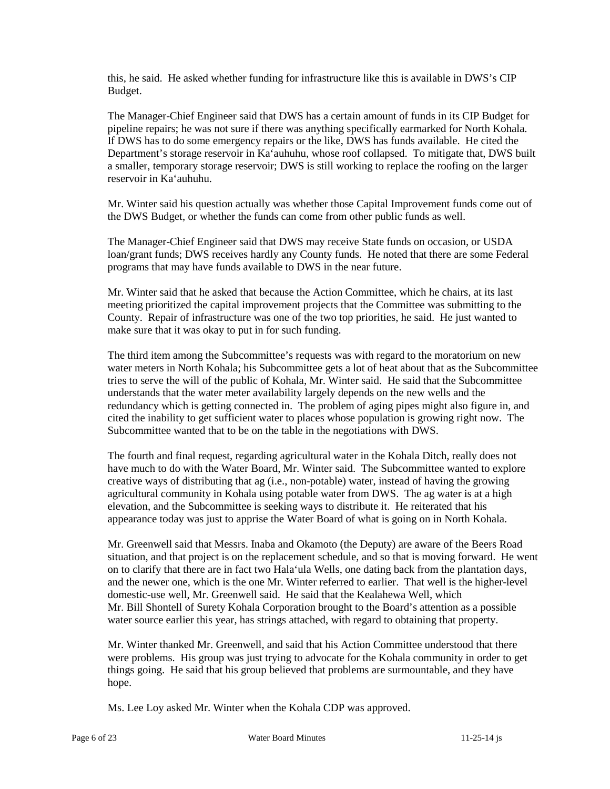this, he said. He asked whether funding for infrastructure like this is available in DWS's CIP Budget.

The Manager-Chief Engineer said that DWS has a certain amount of funds in its CIP Budget for pipeline repairs; he was not sure if there was anything specifically earmarked for North Kohala. If DWS has to do some emergency repairs or the like, DWS has funds available. He cited the Department's storage reservoir in Ka'auhuhu, whose roof collapsed. To mitigate that, DWS built a smaller, temporary storage reservoir; DWS is still working to replace the roofing on the larger reservoir in Ka'auhuhu.

Mr. Winter said his question actually was whether those Capital Improvement funds come out of the DWS Budget, or whether the funds can come from other public funds as well.

The Manager-Chief Engineer said that DWS may receive State funds on occasion, or USDA loan/grant funds; DWS receives hardly any County funds. He noted that there are some Federal programs that may have funds available to DWS in the near future.

Mr. Winter said that he asked that because the Action Committee, which he chairs, at its last meeting prioritized the capital improvement projects that the Committee was submitting to the County. Repair of infrastructure was one of the two top priorities, he said. He just wanted to make sure that it was okay to put in for such funding.

The third item among the Subcommittee's requests was with regard to the moratorium on new water meters in North Kohala; his Subcommittee gets a lot of heat about that as the Subcommittee tries to serve the will of the public of Kohala, Mr. Winter said. He said that the Subcommittee understands that the water meter availability largely depends on the new wells and the redundancy which is getting connected in. The problem of aging pipes might also figure in, and cited the inability to get sufficient water to places whose population is growing right now. The Subcommittee wanted that to be on the table in the negotiations with DWS.

The fourth and final request, regarding agricultural water in the Kohala Ditch, really does not have much to do with the Water Board, Mr. Winter said. The Subcommittee wanted to explore creative ways of distributing that ag (i.e., non-potable) water, instead of having the growing agricultural community in Kohala using potable water from DWS. The ag water is at a high elevation, and the Subcommittee is seeking ways to distribute it. He reiterated that his appearance today was just to apprise the Water Board of what is going on in North Kohala.

Mr. Greenwell said that Messrs. Inaba and Okamoto (the Deputy) are aware of the Beers Road situation, and that project is on the replacement schedule, and so that is moving forward. He went on to clarify that there are in fact two Hala'ula Wells, one dating back from the plantation days, and the newer one, which is the one Mr. Winter referred to earlier. That well is the higher-level domestic-use well, Mr. Greenwell said. He said that the Kealahewa Well, which Mr. Bill Shontell of Surety Kohala Corporation brought to the Board's attention as a possible water source earlier this year, has strings attached, with regard to obtaining that property.

Mr. Winter thanked Mr. Greenwell, and said that his Action Committee understood that there were problems. His group was just trying to advocate for the Kohala community in order to get things going. He said that his group believed that problems are surmountable, and they have hope.

Ms. Lee Loy asked Mr. Winter when the Kohala CDP was approved.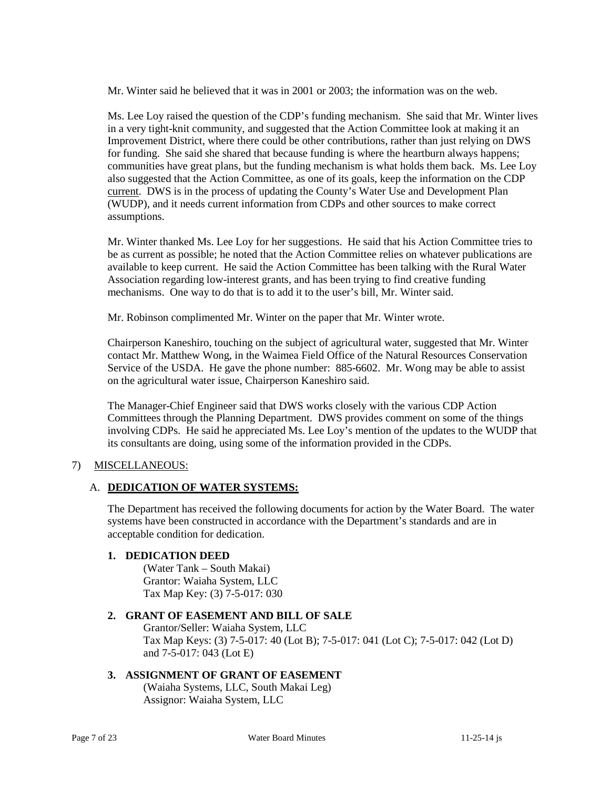Mr. Winter said he believed that it was in 2001 or 2003; the information was on the web.

Ms. Lee Loy raised the question of the CDP's funding mechanism. She said that Mr. Winter lives in a very tight-knit community, and suggested that the Action Committee look at making it an Improvement District, where there could be other contributions, rather than just relying on DWS for funding. She said she shared that because funding is where the heartburn always happens; communities have great plans, but the funding mechanism is what holds them back. Ms. Lee Loy also suggested that the Action Committee, as one of its goals, keep the information on the CDP current. DWS is in the process of updating the County's Water Use and Development Plan (WUDP), and it needs current information from CDPs and other sources to make correct assumptions.

Mr. Winter thanked Ms. Lee Loy for her suggestions. He said that his Action Committee tries to be as current as possible; he noted that the Action Committee relies on whatever publications are available to keep current. He said the Action Committee has been talking with the Rural Water Association regarding low-interest grants, and has been trying to find creative funding mechanisms. One way to do that is to add it to the user's bill, Mr. Winter said.

Mr. Robinson complimented Mr. Winter on the paper that Mr. Winter wrote.

Chairperson Kaneshiro, touching on the subject of agricultural water, suggested that Mr. Winter contact Mr. Matthew Wong, in the Waimea Field Office of the Natural Resources Conservation Service of the USDA. He gave the phone number: 885-6602. Mr. Wong may be able to assist on the agricultural water issue, Chairperson Kaneshiro said.

The Manager-Chief Engineer said that DWS works closely with the various CDP Action Committees through the Planning Department. DWS provides comment on some of the things involving CDPs. He said he appreciated Ms. Lee Loy's mention of the updates to the WUDP that its consultants are doing, using some of the information provided in the CDPs.

### 7) MISCELLANEOUS:

### A. **DEDICATION OF WATER SYSTEMS:**

The Department has received the following documents for action by the Water Board. The water systems have been constructed in accordance with the Department's standards and are in acceptable condition for dedication.

### **1. DEDICATION DEED**

(Water Tank – South Makai) Grantor: Waiaha System, LLC Tax Map Key: (3) 7-5-017: 030

### **2. GRANT OF EASEMENT AND BILL OF SALE**

Grantor/Seller: Waiaha System, LLC Tax Map Keys: (3) 7-5-017: 40 (Lot B); 7-5-017: 041 (Lot C); 7-5-017: 042 (Lot D) and 7-5-017: 043 (Lot E)

### **3. ASSIGNMENT OF GRANT OF EASEMENT**

(Waiaha Systems, LLC, South Makai Leg) Assignor: Waiaha System, LLC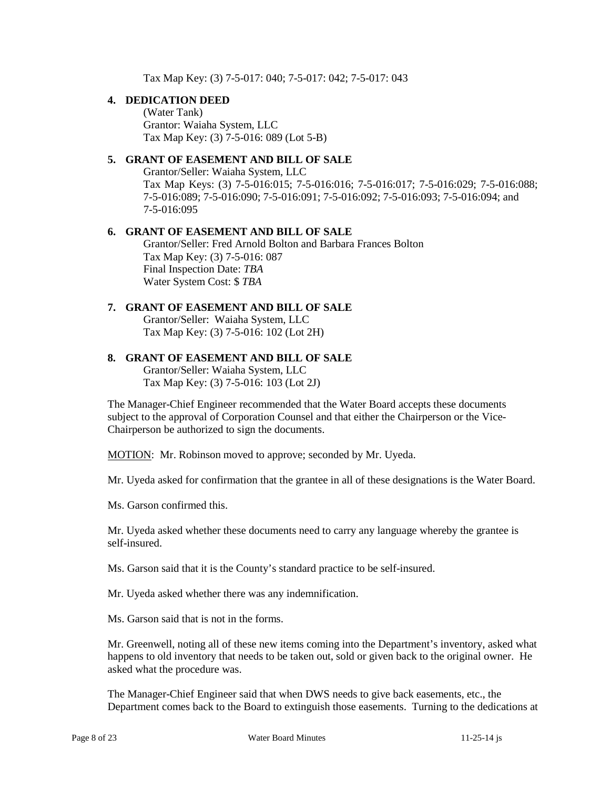Tax Map Key: (3) 7-5-017: 040; 7-5-017: 042; 7-5-017: 043

# **4. DEDICATION DEED**

(Water Tank) Grantor: Waiaha System, LLC Tax Map Key: (3) 7-5-016: 089 (Lot 5-B)

# **5. GRANT OF EASEMENT AND BILL OF SALE**

Grantor/Seller: Waiaha System, LLC Tax Map Keys: (3) 7-5-016:015; 7-5-016:016; 7-5-016:017; 7-5-016:029; 7-5-016:088; 7-5-016:089; 7-5-016:090; 7-5-016:091; 7-5-016:092; 7-5-016:093; 7-5-016:094; and 7-5-016:095

#### **6. GRANT OF EASEMENT AND BILL OF SALE** Grantor/Seller: Fred Arnold Bolton and Barbara Frances Bolton Tax Map Key: (3) 7-5-016: 087 Final Inspection Date: *TBA* Water System Cost: \$ *TBA*

### **7. GRANT OF EASEMENT AND BILL OF SALE**

Grantor/Seller: Waiaha System, LLC Tax Map Key: (3) 7-5-016: 102 (Lot 2H)

### **8. GRANT OF EASEMENT AND BILL OF SALE**

Grantor/Seller: Waiaha System, LLC Tax Map Key: (3) 7-5-016: 103 (Lot 2J)

The Manager-Chief Engineer recommended that the Water Board accepts these documents subject to the approval of Corporation Counsel and that either the Chairperson or the Vice-Chairperson be authorized to sign the documents.

MOTION: Mr. Robinson moved to approve; seconded by Mr. Uyeda.

Mr. Uyeda asked for confirmation that the grantee in all of these designations is the Water Board.

Ms. Garson confirmed this.

Mr. Uyeda asked whether these documents need to carry any language whereby the grantee is self-insured.

Ms. Garson said that it is the County's standard practice to be self-insured.

Mr. Uyeda asked whether there was any indemnification.

Ms. Garson said that is not in the forms.

Mr. Greenwell, noting all of these new items coming into the Department's inventory, asked what happens to old inventory that needs to be taken out, sold or given back to the original owner. He asked what the procedure was.

The Manager-Chief Engineer said that when DWS needs to give back easements, etc., the Department comes back to the Board to extinguish those easements. Turning to the dedications at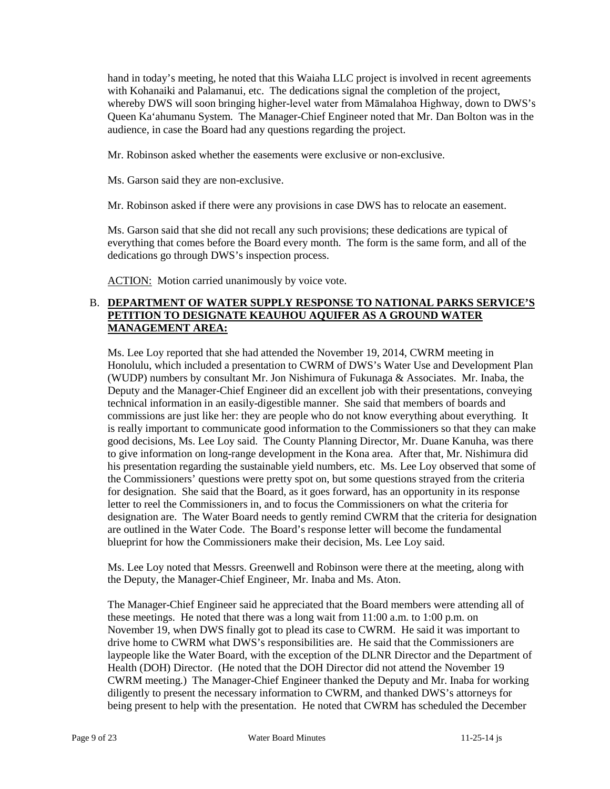hand in today's meeting, he noted that this Waiaha LLC project is involved in recent agreements with Kohanaiki and Palamanui, etc. The dedications signal the completion of the project, whereby DWS will soon bringing higher-level water from Māmalahoa Highway, down to DWS's Queen Ka'ahumanu System. The Manager-Chief Engineer noted that Mr. Dan Bolton was in the audience, in case the Board had any questions regarding the project.

Mr. Robinson asked whether the easements were exclusive or non-exclusive.

Ms. Garson said they are non-exclusive.

Mr. Robinson asked if there were any provisions in case DWS has to relocate an easement.

Ms. Garson said that she did not recall any such provisions; these dedications are typical of everything that comes before the Board every month. The form is the same form, and all of the dedications go through DWS's inspection process.

ACTION: Motion carried unanimously by voice vote.

### B. **DEPARTMENT OF WATER SUPPLY RESPONSE TO NATIONAL PARKS SERVICE'S PETITION TO DESIGNATE KEAUHOU AQUIFER AS A GROUND WATER MANAGEMENT AREA:**

Ms. Lee Loy reported that she had attended the November 19, 2014, CWRM meeting in Honolulu, which included a presentation to CWRM of DWS's Water Use and Development Plan (WUDP) numbers by consultant Mr. Jon Nishimura of Fukunaga & Associates. Mr. Inaba, the Deputy and the Manager-Chief Engineer did an excellent job with their presentations, conveying technical information in an easily-digestible manner. She said that members of boards and commissions are just like her: they are people who do not know everything about everything. It is really important to communicate good information to the Commissioners so that they can make good decisions, Ms. Lee Loy said. The County Planning Director, Mr. Duane Kanuha, was there to give information on long-range development in the Kona area. After that, Mr. Nishimura did his presentation regarding the sustainable yield numbers, etc. Ms. Lee Loy observed that some of the Commissioners' questions were pretty spot on, but some questions strayed from the criteria for designation. She said that the Board, as it goes forward, has an opportunity in its response letter to reel the Commissioners in, and to focus the Commissioners on what the criteria for designation are. The Water Board needs to gently remind CWRM that the criteria for designation are outlined in the Water Code. The Board's response letter will become the fundamental blueprint for how the Commissioners make their decision, Ms. Lee Loy said.

Ms. Lee Loy noted that Messrs. Greenwell and Robinson were there at the meeting, along with the Deputy, the Manager-Chief Engineer, Mr. Inaba and Ms. Aton.

The Manager-Chief Engineer said he appreciated that the Board members were attending all of these meetings. He noted that there was a long wait from 11:00 a.m. to 1:00 p.m. on November 19, when DWS finally got to plead its case to CWRM. He said it was important to drive home to CWRM what DWS's responsibilities are. He said that the Commissioners are laypeople like the Water Board, with the exception of the DLNR Director and the Department of Health (DOH) Director. (He noted that the DOH Director did not attend the November 19 CWRM meeting.) The Manager-Chief Engineer thanked the Deputy and Mr. Inaba for working diligently to present the necessary information to CWRM, and thanked DWS's attorneys for being present to help with the presentation. He noted that CWRM has scheduled the December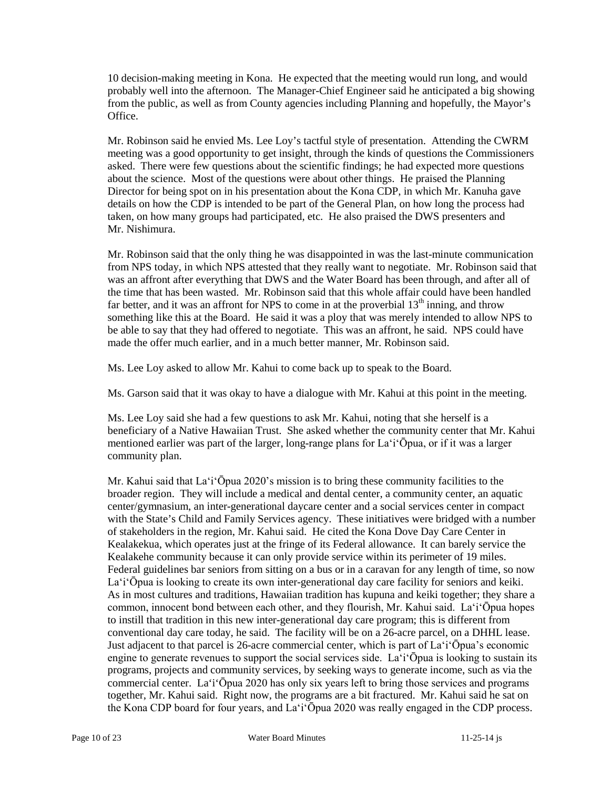10 decision-making meeting in Kona. He expected that the meeting would run long, and would probably well into the afternoon. The Manager-Chief Engineer said he anticipated a big showing from the public, as well as from County agencies including Planning and hopefully, the Mayor's Office.

Mr. Robinson said he envied Ms. Lee Loy's tactful style of presentation. Attending the CWRM meeting was a good opportunity to get insight, through the kinds of questions the Commissioners asked. There were few questions about the scientific findings; he had expected more questions about the science. Most of the questions were about other things. He praised the Planning Director for being spot on in his presentation about the Kona CDP, in which Mr. Kanuha gave details on how the CDP is intended to be part of the General Plan, on how long the process had taken, on how many groups had participated, etc. He also praised the DWS presenters and Mr. Nishimura.

Mr. Robinson said that the only thing he was disappointed in was the last-minute communication from NPS today, in which NPS attested that they really want to negotiate. Mr. Robinson said that was an affront after everything that DWS and the Water Board has been through, and after all of the time that has been wasted. Mr. Robinson said that this whole affair could have been handled far better, and it was an affront for NPS to come in at the proverbial  $13<sup>th</sup>$  inning, and throw something like this at the Board. He said it was a ploy that was merely intended to allow NPS to be able to say that they had offered to negotiate. This was an affront, he said. NPS could have made the offer much earlier, and in a much better manner, Mr. Robinson said.

Ms. Lee Loy asked to allow Mr. Kahui to come back up to speak to the Board.

Ms. Garson said that it was okay to have a dialogue with Mr. Kahui at this point in the meeting.

Ms. Lee Loy said she had a few questions to ask Mr. Kahui, noting that she herself is a beneficiary of a Native Hawaiian Trust. She asked whether the community center that Mr. Kahui mentioned earlier was part of the larger, long-range plans for La'i'Ōpua, or if it was a larger community plan.

Mr. Kahui said that La'i'Ōpua 2020's mission is to bring these community facilities to the broader region. They will include a medical and dental center, a community center, an aquatic center/gymnasium, an inter-generational daycare center and a social services center in compact with the State's Child and Family Services agency. These initiatives were bridged with a number of stakeholders in the region, Mr. Kahui said. He cited the Kona Dove Day Care Center in Kealakekua, which operates just at the fringe of its Federal allowance. It can barely service the Kealakehe community because it can only provide service within its perimeter of 19 miles. Federal guidelines bar seniors from sitting on a bus or in a caravan for any length of time, so now La'i'Ōpua is looking to create its own inter-generational day care facility for seniors and keiki. As in most cultures and traditions, Hawaiian tradition has kupuna and keiki together; they share a common, innocent bond between each other, and they flourish, Mr. Kahui said. La'i'Ōpua hopes to instill that tradition in this new inter-generational day care program; this is different from conventional day care today, he said. The facility will be on a 26-acre parcel, on a DHHL lease. Just adjacent to that parcel is 26-acre commercial center, which is part of La'i'Ōpua's economic engine to generate revenues to support the social services side. La'i'Ōpua is looking to sustain its programs, projects and community services, by seeking ways to generate income, such as via the commercial center. La'i'Ōpua 2020 has only six years left to bring those services and programs together, Mr. Kahui said. Right now, the programs are a bit fractured. Mr. Kahui said he sat on the Kona CDP board for four years, and La'i'Ōpua 2020 was really engaged in the CDP process.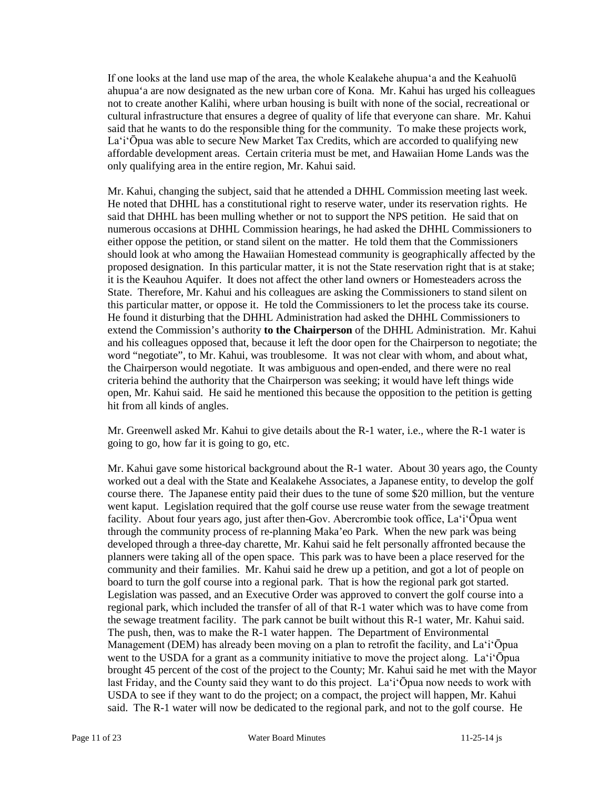If one looks at the land use map of the area, the whole Kealakehe ahupua'a and the Keahuolū ahupua'a are now designated as the new urban core of Kona. Mr. Kahui has urged his colleagues not to create another Kalihi, where urban housing is built with none of the social, recreational or cultural infrastructure that ensures a degree of quality of life that everyone can share. Mr. Kahui said that he wants to do the responsible thing for the community. To make these projects work, La'i'Ōpua was able to secure New Market Tax Credits, which are accorded to qualifying new affordable development areas. Certain criteria must be met, and Hawaiian Home Lands was the only qualifying area in the entire region, Mr. Kahui said.

Mr. Kahui, changing the subject, said that he attended a DHHL Commission meeting last week. He noted that DHHL has a constitutional right to reserve water, under its reservation rights. He said that DHHL has been mulling whether or not to support the NPS petition. He said that on numerous occasions at DHHL Commission hearings, he had asked the DHHL Commissioners to either oppose the petition, or stand silent on the matter. He told them that the Commissioners should look at who among the Hawaiian Homestead community is geographically affected by the proposed designation. In this particular matter, it is not the State reservation right that is at stake; it is the Keauhou Aquifer. It does not affect the other land owners or Homesteaders across the State. Therefore, Mr. Kahui and his colleagues are asking the Commissioners to stand silent on this particular matter, or oppose it. He told the Commissioners to let the process take its course. He found it disturbing that the DHHL Administration had asked the DHHL Commissioners to extend the Commission's authority **to the Chairperson** of the DHHL Administration. Mr. Kahui and his colleagues opposed that, because it left the door open for the Chairperson to negotiate; the word "negotiate", to Mr. Kahui, was troublesome. It was not clear with whom, and about what, the Chairperson would negotiate. It was ambiguous and open-ended, and there were no real criteria behind the authority that the Chairperson was seeking; it would have left things wide open, Mr. Kahui said. He said he mentioned this because the opposition to the petition is getting hit from all kinds of angles.

Mr. Greenwell asked Mr. Kahui to give details about the R-1 water, i.e., where the R-1 water is going to go, how far it is going to go, etc.

Mr. Kahui gave some historical background about the R-1 water. About 30 years ago, the County worked out a deal with the State and Kealakehe Associates, a Japanese entity, to develop the golf course there. The Japanese entity paid their dues to the tune of some \$20 million, but the venture went kaput. Legislation required that the golf course use reuse water from the sewage treatment facility. About four years ago, just after then-Gov. Abercrombie took office, La'i'Ōpua went through the community process of re-planning Maka'eo Park. When the new park was being developed through a three-day charette, Mr. Kahui said he felt personally affronted because the planners were taking all of the open space. This park was to have been a place reserved for the community and their families. Mr. Kahui said he drew up a petition, and got a lot of people on board to turn the golf course into a regional park. That is how the regional park got started. Legislation was passed, and an Executive Order was approved to convert the golf course into a regional park, which included the transfer of all of that R-1 water which was to have come from the sewage treatment facility. The park cannot be built without this R-1 water, Mr. Kahui said. The push, then, was to make the R-1 water happen. The Department of Environmental Management (DEM) has already been moving on a plan to retrofit the facility, and La'i'Ōpua went to the USDA for a grant as a community initiative to move the project along. La'i'Opua brought 45 percent of the cost of the project to the County; Mr. Kahui said he met with the Mayor last Friday, and the County said they want to do this project. La'i'Ōpua now needs to work with USDA to see if they want to do the project; on a compact, the project will happen, Mr. Kahui said. The R-1 water will now be dedicated to the regional park, and not to the golf course. He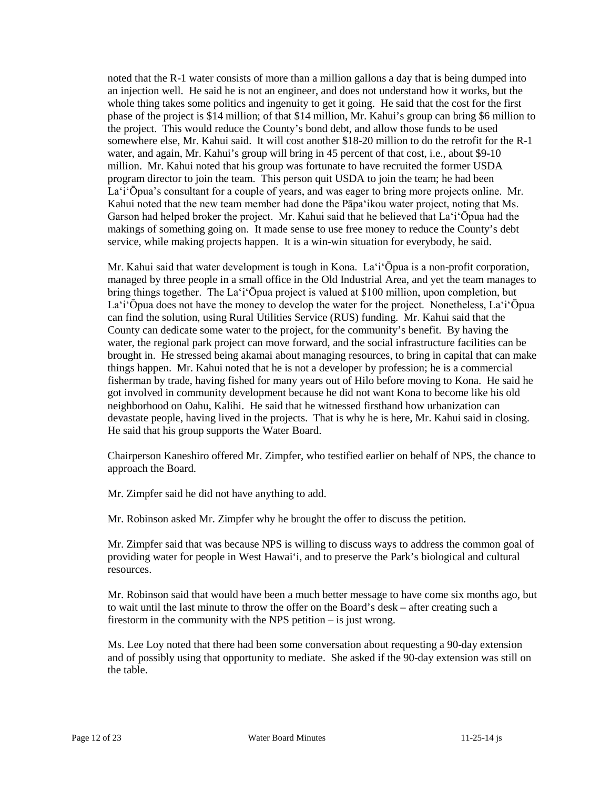noted that the R-1 water consists of more than a million gallons a day that is being dumped into an injection well. He said he is not an engineer, and does not understand how it works, but the whole thing takes some politics and ingenuity to get it going. He said that the cost for the first phase of the project is \$14 million; of that \$14 million, Mr. Kahui's group can bring \$6 million to the project. This would reduce the County's bond debt, and allow those funds to be used somewhere else, Mr. Kahui said. It will cost another \$18-20 million to do the retrofit for the R-1 water, and again, Mr. Kahui's group will bring in 45 percent of that cost, i.e., about \$9-10 million. Mr. Kahui noted that his group was fortunate to have recruited the former USDA program director to join the team. This person quit USDA to join the team; he had been La'i'Ōpua's consultant for a couple of years, and was eager to bring more projects online. Mr. Kahui noted that the new team member had done the Pāpa'ikou water project, noting that Ms. Garson had helped broker the project. Mr. Kahui said that he believed that La'i'Ōpua had the makings of something going on. It made sense to use free money to reduce the County's debt service, while making projects happen. It is a win-win situation for everybody, he said.

Mr. Kahui said that water development is tough in Kona. La'i'Ōpua is a non-profit corporation, managed by three people in a small office in the Old Industrial Area, and yet the team manages to bring things together. The La'i'Ōpua project is valued at \$100 million, upon completion, but La'i'Ōpua does not have the money to develop the water for the project. Nonetheless, La'i'Ōpua can find the solution, using Rural Utilities Service (RUS) funding. Mr. Kahui said that the County can dedicate some water to the project, for the community's benefit. By having the water, the regional park project can move forward, and the social infrastructure facilities can be brought in. He stressed being akamai about managing resources, to bring in capital that can make things happen. Mr. Kahui noted that he is not a developer by profession; he is a commercial fisherman by trade, having fished for many years out of Hilo before moving to Kona. He said he got involved in community development because he did not want Kona to become like his old neighborhood on Oahu, Kalihi. He said that he witnessed firsthand how urbanization can devastate people, having lived in the projects. That is why he is here, Mr. Kahui said in closing. He said that his group supports the Water Board.

Chairperson Kaneshiro offered Mr. Zimpfer, who testified earlier on behalf of NPS, the chance to approach the Board.

Mr. Zimpfer said he did not have anything to add.

Mr. Robinson asked Mr. Zimpfer why he brought the offer to discuss the petition.

Mr. Zimpfer said that was because NPS is willing to discuss ways to address the common goal of providing water for people in West Hawai'i, and to preserve the Park's biological and cultural resources.

Mr. Robinson said that would have been a much better message to have come six months ago, but to wait until the last minute to throw the offer on the Board's desk – after creating such a firestorm in the community with the NPS petition – is just wrong.

Ms. Lee Loy noted that there had been some conversation about requesting a 90-day extension and of possibly using that opportunity to mediate. She asked if the 90-day extension was still on the table.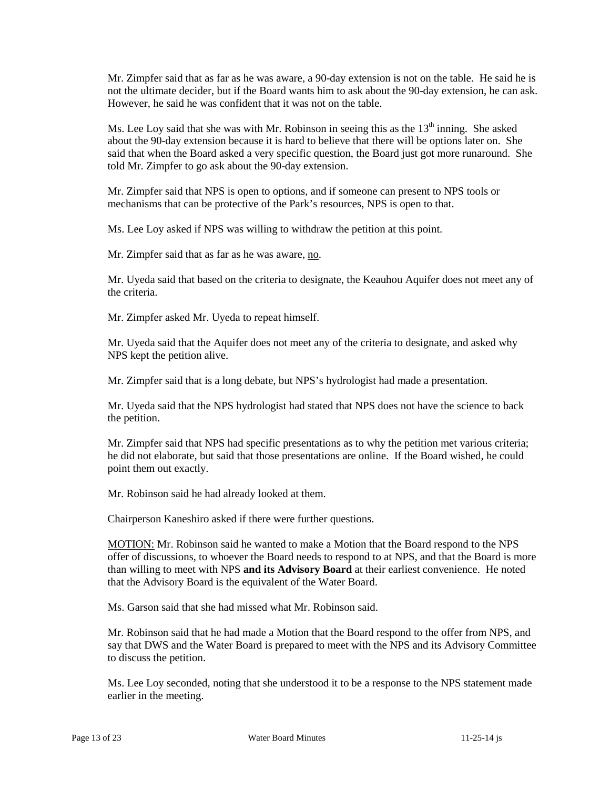Mr. Zimpfer said that as far as he was aware, a 90-day extension is not on the table. He said he is not the ultimate decider, but if the Board wants him to ask about the 90-day extension, he can ask. However, he said he was confident that it was not on the table.

Ms. Lee Loy said that she was with Mr. Robinson in seeing this as the  $13<sup>th</sup>$  inning. She asked about the 90-day extension because it is hard to believe that there will be options later on. She said that when the Board asked a very specific question, the Board just got more runaround. She told Mr. Zimpfer to go ask about the 90-day extension.

Mr. Zimpfer said that NPS is open to options, and if someone can present to NPS tools or mechanisms that can be protective of the Park's resources, NPS is open to that.

Ms. Lee Loy asked if NPS was willing to withdraw the petition at this point.

Mr. Zimpfer said that as far as he was aware, no.

Mr. Uyeda said that based on the criteria to designate, the Keauhou Aquifer does not meet any of the criteria.

Mr. Zimpfer asked Mr. Uyeda to repeat himself.

Mr. Uyeda said that the Aquifer does not meet any of the criteria to designate, and asked why NPS kept the petition alive.

Mr. Zimpfer said that is a long debate, but NPS's hydrologist had made a presentation.

Mr. Uyeda said that the NPS hydrologist had stated that NPS does not have the science to back the petition.

Mr. Zimpfer said that NPS had specific presentations as to why the petition met various criteria; he did not elaborate, but said that those presentations are online. If the Board wished, he could point them out exactly.

Mr. Robinson said he had already looked at them.

Chairperson Kaneshiro asked if there were further questions.

MOTION: Mr. Robinson said he wanted to make a Motion that the Board respond to the NPS offer of discussions, to whoever the Board needs to respond to at NPS, and that the Board is more than willing to meet with NPS **and its Advisory Board** at their earliest convenience. He noted that the Advisory Board is the equivalent of the Water Board.

Ms. Garson said that she had missed what Mr. Robinson said.

Mr. Robinson said that he had made a Motion that the Board respond to the offer from NPS, and say that DWS and the Water Board is prepared to meet with the NPS and its Advisory Committee to discuss the petition.

Ms. Lee Loy seconded, noting that she understood it to be a response to the NPS statement made earlier in the meeting.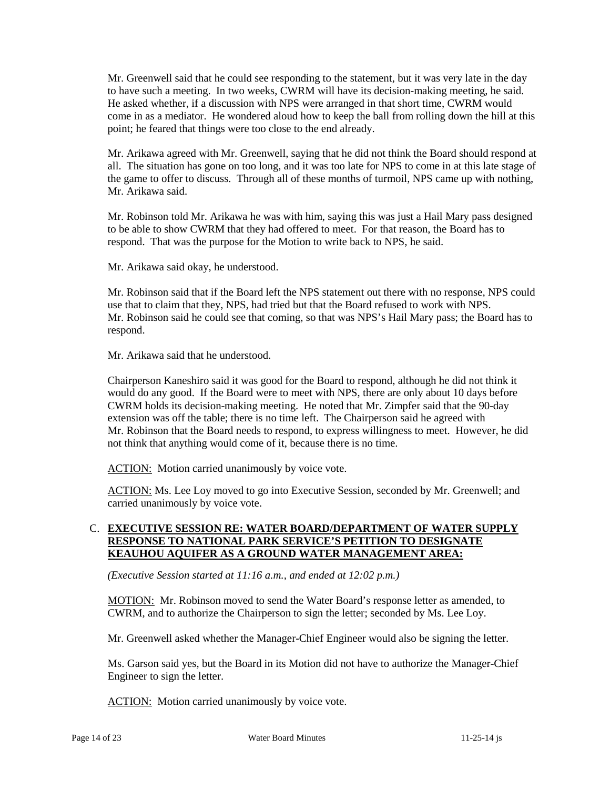Mr. Greenwell said that he could see responding to the statement, but it was very late in the day to have such a meeting. In two weeks, CWRM will have its decision-making meeting, he said. He asked whether, if a discussion with NPS were arranged in that short time, CWRM would come in as a mediator. He wondered aloud how to keep the ball from rolling down the hill at this point; he feared that things were too close to the end already.

Mr. Arikawa agreed with Mr. Greenwell, saying that he did not think the Board should respond at all. The situation has gone on too long, and it was too late for NPS to come in at this late stage of the game to offer to discuss. Through all of these months of turmoil, NPS came up with nothing, Mr. Arikawa said.

Mr. Robinson told Mr. Arikawa he was with him, saying this was just a Hail Mary pass designed to be able to show CWRM that they had offered to meet. For that reason, the Board has to respond. That was the purpose for the Motion to write back to NPS, he said.

Mr. Arikawa said okay, he understood.

Mr. Robinson said that if the Board left the NPS statement out there with no response, NPS could use that to claim that they, NPS, had tried but that the Board refused to work with NPS. Mr. Robinson said he could see that coming, so that was NPS's Hail Mary pass; the Board has to respond.

Mr. Arikawa said that he understood.

Chairperson Kaneshiro said it was good for the Board to respond, although he did not think it would do any good. If the Board were to meet with NPS, there are only about 10 days before CWRM holds its decision-making meeting. He noted that Mr. Zimpfer said that the 90-day extension was off the table; there is no time left. The Chairperson said he agreed with Mr. Robinson that the Board needs to respond, to express willingness to meet. However, he did not think that anything would come of it, because there is no time.

ACTION: Motion carried unanimously by voice vote.

ACTION: Ms. Lee Loy moved to go into Executive Session, seconded by Mr. Greenwell; and carried unanimously by voice vote.

### C. **EXECUTIVE SESSION RE: WATER BOARD/DEPARTMENT OF WATER SUPPLY RESPONSE TO NATIONAL PARK SERVICE'S PETITION TO DESIGNATE KEAUHOU AQUIFER AS A GROUND WATER MANAGEMENT AREA:**

*(Executive Session started at 11:16 a.m., and ended at 12:02 p.m.)*

MOTION: Mr. Robinson moved to send the Water Board's response letter as amended, to CWRM, and to authorize the Chairperson to sign the letter; seconded by Ms. Lee Loy.

Mr. Greenwell asked whether the Manager-Chief Engineer would also be signing the letter.

Ms. Garson said yes, but the Board in its Motion did not have to authorize the Manager-Chief Engineer to sign the letter.

ACTION: Motion carried unanimously by voice vote.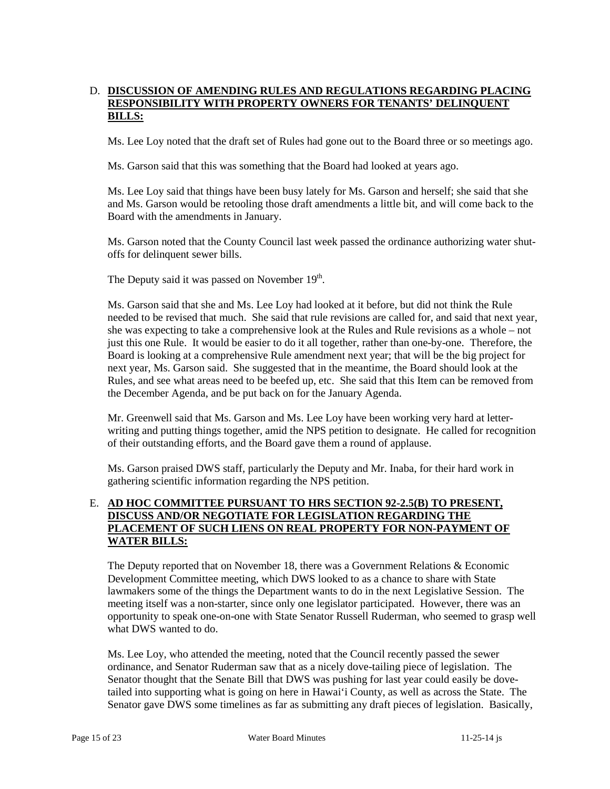# D. **DISCUSSION OF AMENDING RULES AND REGULATIONS REGARDING PLACING RESPONSIBILITY WITH PROPERTY OWNERS FOR TENANTS' DELINQUENT BILLS:**

Ms. Lee Loy noted that the draft set of Rules had gone out to the Board three or so meetings ago.

Ms. Garson said that this was something that the Board had looked at years ago.

Ms. Lee Loy said that things have been busy lately for Ms. Garson and herself; she said that she and Ms. Garson would be retooling those draft amendments a little bit, and will come back to the Board with the amendments in January.

Ms. Garson noted that the County Council last week passed the ordinance authorizing water shutoffs for delinquent sewer bills.

The Deputy said it was passed on November 19<sup>th</sup>.

Ms. Garson said that she and Ms. Lee Loy had looked at it before, but did not think the Rule needed to be revised that much. She said that rule revisions are called for, and said that next year, she was expecting to take a comprehensive look at the Rules and Rule revisions as a whole – not just this one Rule. It would be easier to do it all together, rather than one-by-one. Therefore, the Board is looking at a comprehensive Rule amendment next year; that will be the big project for next year, Ms. Garson said. She suggested that in the meantime, the Board should look at the Rules, and see what areas need to be beefed up, etc. She said that this Item can be removed from the December Agenda, and be put back on for the January Agenda.

Mr. Greenwell said that Ms. Garson and Ms. Lee Loy have been working very hard at letterwriting and putting things together, amid the NPS petition to designate. He called for recognition of their outstanding efforts, and the Board gave them a round of applause.

Ms. Garson praised DWS staff, particularly the Deputy and Mr. Inaba, for their hard work in gathering scientific information regarding the NPS petition.

# E. **AD HOC COMMITTEE PURSUANT TO HRS SECTION 92-2.5(B) TO PRESENT, DISCUSS AND/OR NEGOTIATE FOR LEGISLATION REGARDING THE PLACEMENT OF SUCH LIENS ON REAL PROPERTY FOR NON-PAYMENT OF WATER BILLS:**

The Deputy reported that on November 18, there was a Government Relations & Economic Development Committee meeting, which DWS looked to as a chance to share with State lawmakers some of the things the Department wants to do in the next Legislative Session. The meeting itself was a non-starter, since only one legislator participated. However, there was an opportunity to speak one-on-one with State Senator Russell Ruderman, who seemed to grasp well what DWS wanted to do.

Ms. Lee Loy, who attended the meeting, noted that the Council recently passed the sewer ordinance, and Senator Ruderman saw that as a nicely dove-tailing piece of legislation. The Senator thought that the Senate Bill that DWS was pushing for last year could easily be dovetailed into supporting what is going on here in Hawai'i County, as well as across the State. The Senator gave DWS some timelines as far as submitting any draft pieces of legislation. Basically,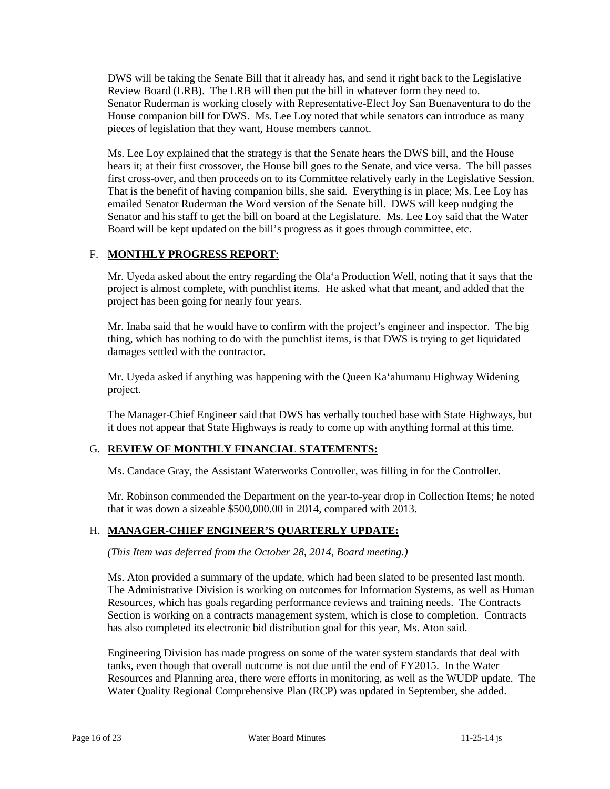DWS will be taking the Senate Bill that it already has, and send it right back to the Legislative Review Board (LRB). The LRB will then put the bill in whatever form they need to. Senator Ruderman is working closely with Representative-Elect Joy San Buenaventura to do the House companion bill for DWS. Ms. Lee Loy noted that while senators can introduce as many pieces of legislation that they want, House members cannot.

Ms. Lee Loy explained that the strategy is that the Senate hears the DWS bill, and the House hears it; at their first crossover, the House bill goes to the Senate, and vice versa. The bill passes first cross-over, and then proceeds on to its Committee relatively early in the Legislative Session. That is the benefit of having companion bills, she said. Everything is in place; Ms. Lee Loy has emailed Senator Ruderman the Word version of the Senate bill. DWS will keep nudging the Senator and his staff to get the bill on board at the Legislature. Ms. Lee Loy said that the Water Board will be kept updated on the bill's progress as it goes through committee, etc.

# F. **MONTHLY PROGRESS REPORT**:

Mr. Uyeda asked about the entry regarding the Ola'a Production Well, noting that it says that the project is almost complete, with punchlist items. He asked what that meant, and added that the project has been going for nearly four years.

Mr. Inaba said that he would have to confirm with the project's engineer and inspector. The big thing, which has nothing to do with the punchlist items, is that DWS is trying to get liquidated damages settled with the contractor.

Mr. Uyeda asked if anything was happening with the Queen Ka'ahumanu Highway Widening project.

The Manager-Chief Engineer said that DWS has verbally touched base with State Highways, but it does not appear that State Highways is ready to come up with anything formal at this time.

# G. **REVIEW OF MONTHLY FINANCIAL STATEMENTS:**

Ms. Candace Gray, the Assistant Waterworks Controller, was filling in for the Controller.

Mr. Robinson commended the Department on the year-to-year drop in Collection Items; he noted that it was down a sizeable \$500,000.00 in 2014, compared with 2013.

### H. **MANAGER-CHIEF ENGINEER'S QUARTERLY UPDATE:**

*(This Item was deferred from the October 28, 2014, Board meeting.)*

Ms. Aton provided a summary of the update, which had been slated to be presented last month. The Administrative Division is working on outcomes for Information Systems, as well as Human Resources, which has goals regarding performance reviews and training needs. The Contracts Section is working on a contracts management system, which is close to completion. Contracts has also completed its electronic bid distribution goal for this year, Ms. Aton said.

Engineering Division has made progress on some of the water system standards that deal with tanks, even though that overall outcome is not due until the end of FY2015. In the Water Resources and Planning area, there were efforts in monitoring, as well as the WUDP update. The Water Quality Regional Comprehensive Plan (RCP) was updated in September, she added.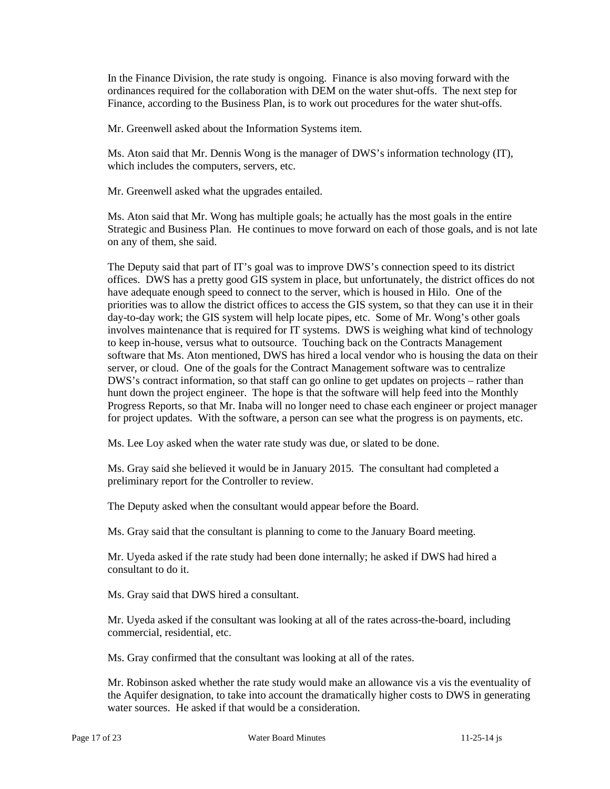In the Finance Division, the rate study is ongoing. Finance is also moving forward with the ordinances required for the collaboration with DEM on the water shut-offs. The next step for Finance, according to the Business Plan, is to work out procedures for the water shut-offs.

Mr. Greenwell asked about the Information Systems item.

Ms. Aton said that Mr. Dennis Wong is the manager of DWS's information technology (IT), which includes the computers, servers, etc.

Mr. Greenwell asked what the upgrades entailed.

Ms. Aton said that Mr. Wong has multiple goals; he actually has the most goals in the entire Strategic and Business Plan. He continues to move forward on each of those goals, and is not late on any of them, she said.

The Deputy said that part of IT's goal was to improve DWS's connection speed to its district offices. DWS has a pretty good GIS system in place, but unfortunately, the district offices do not have adequate enough speed to connect to the server, which is housed in Hilo. One of the priorities was to allow the district offices to access the GIS system, so that they can use it in their day-to-day work; the GIS system will help locate pipes, etc. Some of Mr. Wong's other goals involves maintenance that is required for IT systems. DWS is weighing what kind of technology to keep in-house, versus what to outsource. Touching back on the Contracts Management software that Ms. Aton mentioned, DWS has hired a local vendor who is housing the data on their server, or cloud. One of the goals for the Contract Management software was to centralize DWS's contract information, so that staff can go online to get updates on projects – rather than hunt down the project engineer. The hope is that the software will help feed into the Monthly Progress Reports, so that Mr. Inaba will no longer need to chase each engineer or project manager for project updates. With the software, a person can see what the progress is on payments, etc.

Ms. Lee Loy asked when the water rate study was due, or slated to be done.

Ms. Gray said she believed it would be in January 2015. The consultant had completed a preliminary report for the Controller to review.

The Deputy asked when the consultant would appear before the Board.

Ms. Gray said that the consultant is planning to come to the January Board meeting.

Mr. Uyeda asked if the rate study had been done internally; he asked if DWS had hired a consultant to do it.

Ms. Gray said that DWS hired a consultant.

Mr. Uyeda asked if the consultant was looking at all of the rates across-the-board, including commercial, residential, etc.

Ms. Gray confirmed that the consultant was looking at all of the rates.

Mr. Robinson asked whether the rate study would make an allowance vis a vis the eventuality of the Aquifer designation, to take into account the dramatically higher costs to DWS in generating water sources. He asked if that would be a consideration.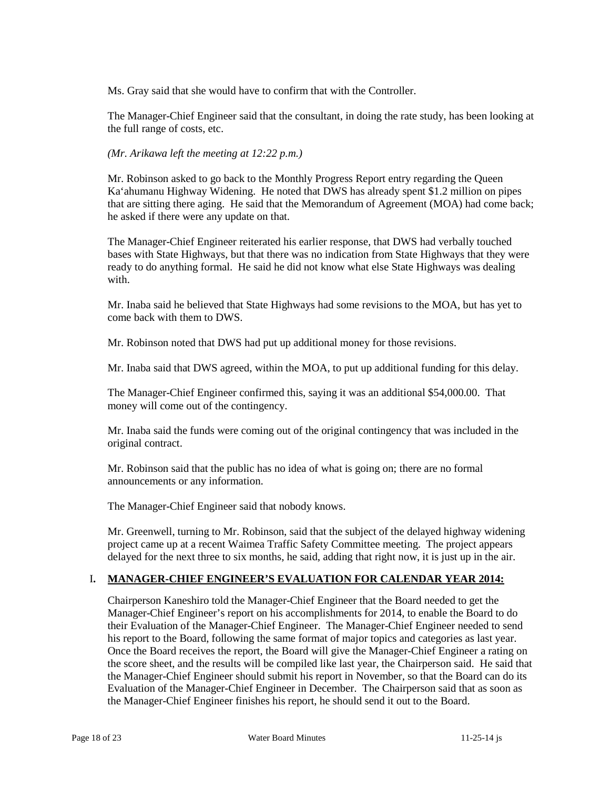Ms. Gray said that she would have to confirm that with the Controller.

The Manager-Chief Engineer said that the consultant, in doing the rate study, has been looking at the full range of costs, etc.

#### *(Mr. Arikawa left the meeting at 12:22 p.m.)*

Mr. Robinson asked to go back to the Monthly Progress Report entry regarding the Queen Ka'ahumanu Highway Widening. He noted that DWS has already spent \$1.2 million on pipes that are sitting there aging. He said that the Memorandum of Agreement (MOA) had come back; he asked if there were any update on that.

The Manager-Chief Engineer reiterated his earlier response, that DWS had verbally touched bases with State Highways, but that there was no indication from State Highways that they were ready to do anything formal. He said he did not know what else State Highways was dealing with.

Mr. Inaba said he believed that State Highways had some revisions to the MOA, but has yet to come back with them to DWS.

Mr. Robinson noted that DWS had put up additional money for those revisions.

Mr. Inaba said that DWS agreed, within the MOA, to put up additional funding for this delay.

The Manager-Chief Engineer confirmed this, saying it was an additional \$54,000.00. That money will come out of the contingency.

Mr. Inaba said the funds were coming out of the original contingency that was included in the original contract.

Mr. Robinson said that the public has no idea of what is going on; there are no formal announcements or any information.

The Manager-Chief Engineer said that nobody knows.

Mr. Greenwell, turning to Mr. Robinson, said that the subject of the delayed highway widening project came up at a recent Waimea Traffic Safety Committee meeting. The project appears delayed for the next three to six months, he said, adding that right now, it is just up in the air.

### I**. MANAGER-CHIEF ENGINEER'S EVALUATION FOR CALENDAR YEAR 2014:**

Chairperson Kaneshiro told the Manager-Chief Engineer that the Board needed to get the Manager-Chief Engineer's report on his accomplishments for 2014, to enable the Board to do their Evaluation of the Manager-Chief Engineer. The Manager-Chief Engineer needed to send his report to the Board, following the same format of major topics and categories as last year. Once the Board receives the report, the Board will give the Manager-Chief Engineer a rating on the score sheet, and the results will be compiled like last year, the Chairperson said. He said that the Manager-Chief Engineer should submit his report in November, so that the Board can do its Evaluation of the Manager-Chief Engineer in December. The Chairperson said that as soon as the Manager-Chief Engineer finishes his report, he should send it out to the Board.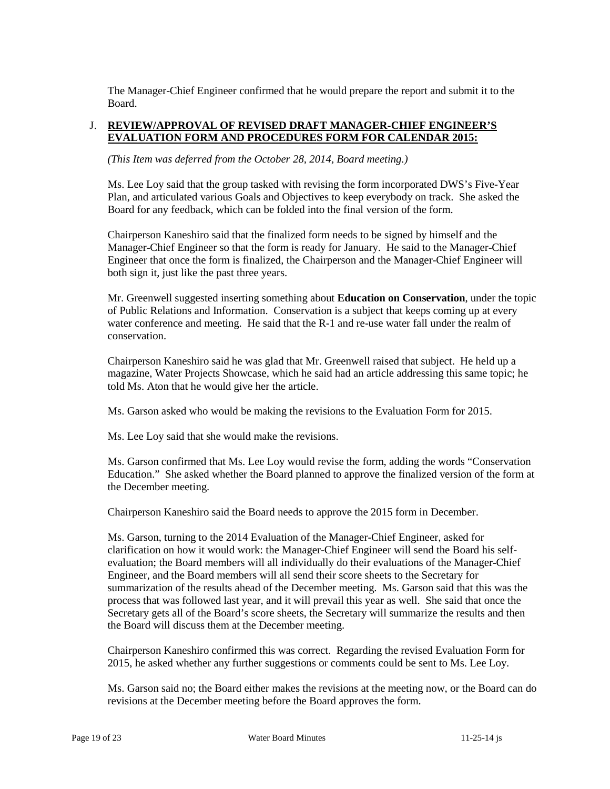The Manager-Chief Engineer confirmed that he would prepare the report and submit it to the Board.

### J. **REVIEW/APPROVAL OF REVISED DRAFT MANAGER-CHIEF ENGINEER'S EVALUATION FORM AND PROCEDURES FORM FOR CALENDAR 2015:**

*(This Item was deferred from the October 28, 2014, Board meeting.)*

Ms. Lee Loy said that the group tasked with revising the form incorporated DWS's Five-Year Plan, and articulated various Goals and Objectives to keep everybody on track. She asked the Board for any feedback, which can be folded into the final version of the form.

Chairperson Kaneshiro said that the finalized form needs to be signed by himself and the Manager-Chief Engineer so that the form is ready for January. He said to the Manager-Chief Engineer that once the form is finalized, the Chairperson and the Manager-Chief Engineer will both sign it, just like the past three years.

Mr. Greenwell suggested inserting something about **Education on Conservation**, under the topic of Public Relations and Information. Conservation is a subject that keeps coming up at every water conference and meeting. He said that the R-1 and re-use water fall under the realm of conservation.

Chairperson Kaneshiro said he was glad that Mr. Greenwell raised that subject. He held up a magazine, Water Projects Showcase, which he said had an article addressing this same topic; he told Ms. Aton that he would give her the article.

Ms. Garson asked who would be making the revisions to the Evaluation Form for 2015.

Ms. Lee Loy said that she would make the revisions.

Ms. Garson confirmed that Ms. Lee Loy would revise the form, adding the words "Conservation Education." She asked whether the Board planned to approve the finalized version of the form at the December meeting.

Chairperson Kaneshiro said the Board needs to approve the 2015 form in December.

Ms. Garson, turning to the 2014 Evaluation of the Manager-Chief Engineer, asked for clarification on how it would work: the Manager-Chief Engineer will send the Board his selfevaluation; the Board members will all individually do their evaluations of the Manager-Chief Engineer, and the Board members will all send their score sheets to the Secretary for summarization of the results ahead of the December meeting. Ms. Garson said that this was the process that was followed last year, and it will prevail this year as well. She said that once the Secretary gets all of the Board's score sheets, the Secretary will summarize the results and then the Board will discuss them at the December meeting.

Chairperson Kaneshiro confirmed this was correct. Regarding the revised Evaluation Form for 2015, he asked whether any further suggestions or comments could be sent to Ms. Lee Loy.

Ms. Garson said no; the Board either makes the revisions at the meeting now, or the Board can do revisions at the December meeting before the Board approves the form.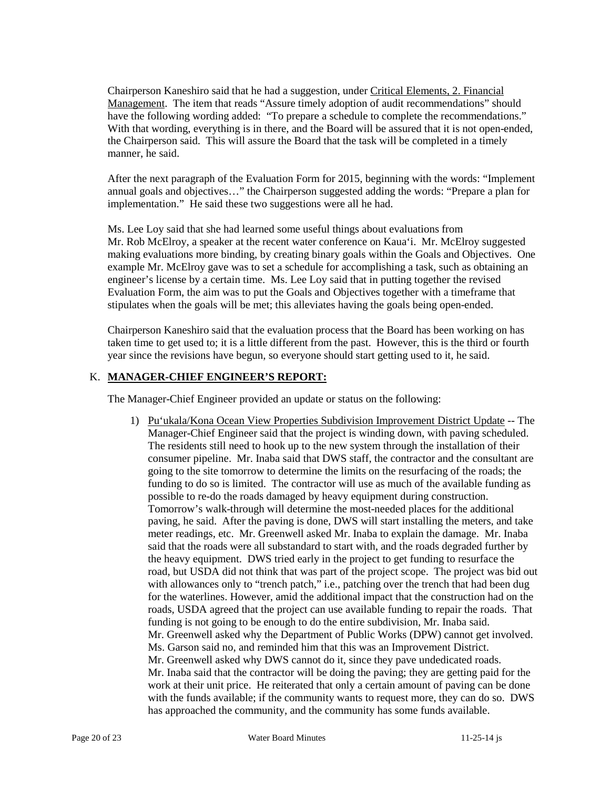Chairperson Kaneshiro said that he had a suggestion, under Critical Elements, 2. Financial Management. The item that reads "Assure timely adoption of audit recommendations" should have the following wording added: "To prepare a schedule to complete the recommendations." With that wording, everything is in there, and the Board will be assured that it is not open-ended, the Chairperson said. This will assure the Board that the task will be completed in a timely manner, he said.

After the next paragraph of the Evaluation Form for 2015, beginning with the words: "Implement annual goals and objectives…" the Chairperson suggested adding the words: "Prepare a plan for implementation." He said these two suggestions were all he had.

Ms. Lee Loy said that she had learned some useful things about evaluations from Mr. Rob McElroy, a speaker at the recent water conference on Kaua'i. Mr. McElroy suggested making evaluations more binding, by creating binary goals within the Goals and Objectives. One example Mr. McElroy gave was to set a schedule for accomplishing a task, such as obtaining an engineer's license by a certain time. Ms. Lee Loy said that in putting together the revised Evaluation Form, the aim was to put the Goals and Objectives together with a timeframe that stipulates when the goals will be met; this alleviates having the goals being open-ended.

Chairperson Kaneshiro said that the evaluation process that the Board has been working on has taken time to get used to; it is a little different from the past. However, this is the third or fourth year since the revisions have begun, so everyone should start getting used to it, he said.

### K. **MANAGER-CHIEF ENGINEER'S REPORT:**

The Manager-Chief Engineer provided an update or status on the following:

1) Pu'ukala/Kona Ocean View Properties Subdivision Improvement District Update -- The Manager-Chief Engineer said that the project is winding down, with paving scheduled. The residents still need to hook up to the new system through the installation of their consumer pipeline. Mr. Inaba said that DWS staff, the contractor and the consultant are going to the site tomorrow to determine the limits on the resurfacing of the roads; the funding to do so is limited. The contractor will use as much of the available funding as possible to re-do the roads damaged by heavy equipment during construction. Tomorrow's walk-through will determine the most-needed places for the additional paving, he said. After the paving is done, DWS will start installing the meters, and take meter readings, etc. Mr. Greenwell asked Mr. Inaba to explain the damage. Mr. Inaba said that the roads were all substandard to start with, and the roads degraded further by the heavy equipment. DWS tried early in the project to get funding to resurface the road, but USDA did not think that was part of the project scope. The project was bid out with allowances only to "trench patch," i.e., patching over the trench that had been dug for the waterlines. However, amid the additional impact that the construction had on the roads, USDA agreed that the project can use available funding to repair the roads. That funding is not going to be enough to do the entire subdivision, Mr. Inaba said. Mr. Greenwell asked why the Department of Public Works (DPW) cannot get involved. Ms. Garson said no, and reminded him that this was an Improvement District. Mr. Greenwell asked why DWS cannot do it, since they pave undedicated roads. Mr. Inaba said that the contractor will be doing the paving; they are getting paid for the work at their unit price. He reiterated that only a certain amount of paving can be done with the funds available; if the community wants to request more, they can do so. DWS has approached the community, and the community has some funds available.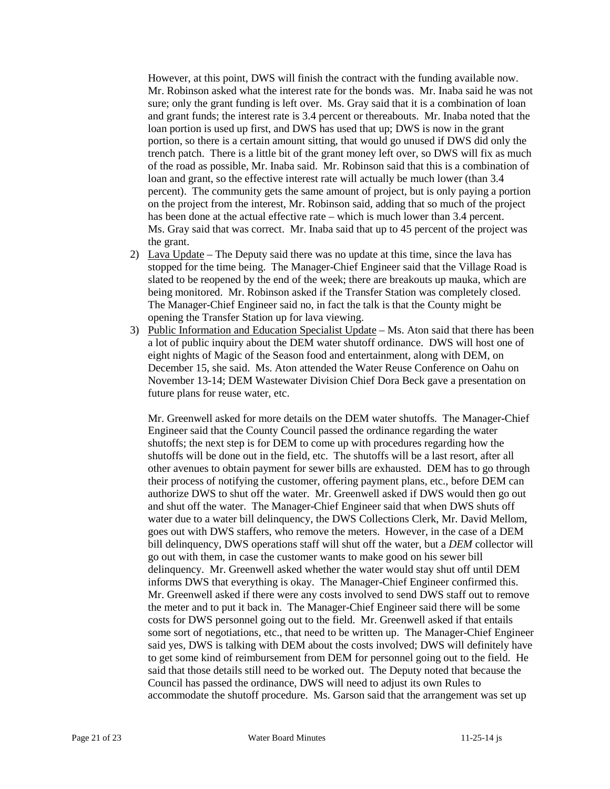However, at this point, DWS will finish the contract with the funding available now. Mr. Robinson asked what the interest rate for the bonds was. Mr. Inaba said he was not sure; only the grant funding is left over. Ms. Gray said that it is a combination of loan and grant funds; the interest rate is 3.4 percent or thereabouts. Mr. Inaba noted that the loan portion is used up first, and DWS has used that up; DWS is now in the grant portion, so there is a certain amount sitting, that would go unused if DWS did only the trench patch. There is a little bit of the grant money left over, so DWS will fix as much of the road as possible, Mr. Inaba said. Mr. Robinson said that this is a combination of loan and grant, so the effective interest rate will actually be much lower (than 3.4 percent). The community gets the same amount of project, but is only paying a portion on the project from the interest, Mr. Robinson said, adding that so much of the project has been done at the actual effective rate – which is much lower than 3.4 percent. Ms. Gray said that was correct. Mr. Inaba said that up to 45 percent of the project was the grant.

- 2) Lava Update The Deputy said there was no update at this time, since the lava has stopped for the time being. The Manager-Chief Engineer said that the Village Road is slated to be reopened by the end of the week; there are breakouts up mauka, which are being monitored. Mr. Robinson asked if the Transfer Station was completely closed. The Manager-Chief Engineer said no, in fact the talk is that the County might be opening the Transfer Station up for lava viewing.
- 3) Public Information and Education Specialist Update Ms. Aton said that there has been a lot of public inquiry about the DEM water shutoff ordinance. DWS will host one of eight nights of Magic of the Season food and entertainment, along with DEM, on December 15, she said. Ms. Aton attended the Water Reuse Conference on Oahu on November 13-14; DEM Wastewater Division Chief Dora Beck gave a presentation on future plans for reuse water, etc.

Mr. Greenwell asked for more details on the DEM water shutoffs. The Manager-Chief Engineer said that the County Council passed the ordinance regarding the water shutoffs; the next step is for DEM to come up with procedures regarding how the shutoffs will be done out in the field, etc. The shutoffs will be a last resort, after all other avenues to obtain payment for sewer bills are exhausted. DEM has to go through their process of notifying the customer, offering payment plans, etc., before DEM can authorize DWS to shut off the water. Mr. Greenwell asked if DWS would then go out and shut off the water. The Manager-Chief Engineer said that when DWS shuts off water due to a water bill delinquency, the DWS Collections Clerk, Mr. David Mellom, goes out with DWS staffers, who remove the meters. However, in the case of a DEM bill delinquency, DWS operations staff will shut off the water, but a *DEM* collector will go out with them, in case the customer wants to make good on his sewer bill delinquency. Mr. Greenwell asked whether the water would stay shut off until DEM informs DWS that everything is okay. The Manager-Chief Engineer confirmed this. Mr. Greenwell asked if there were any costs involved to send DWS staff out to remove the meter and to put it back in. The Manager-Chief Engineer said there will be some costs for DWS personnel going out to the field. Mr. Greenwell asked if that entails some sort of negotiations, etc., that need to be written up. The Manager-Chief Engineer said yes, DWS is talking with DEM about the costs involved; DWS will definitely have to get some kind of reimbursement from DEM for personnel going out to the field. He said that those details still need to be worked out. The Deputy noted that because the Council has passed the ordinance, DWS will need to adjust its own Rules to accommodate the shutoff procedure. Ms. Garson said that the arrangement was set up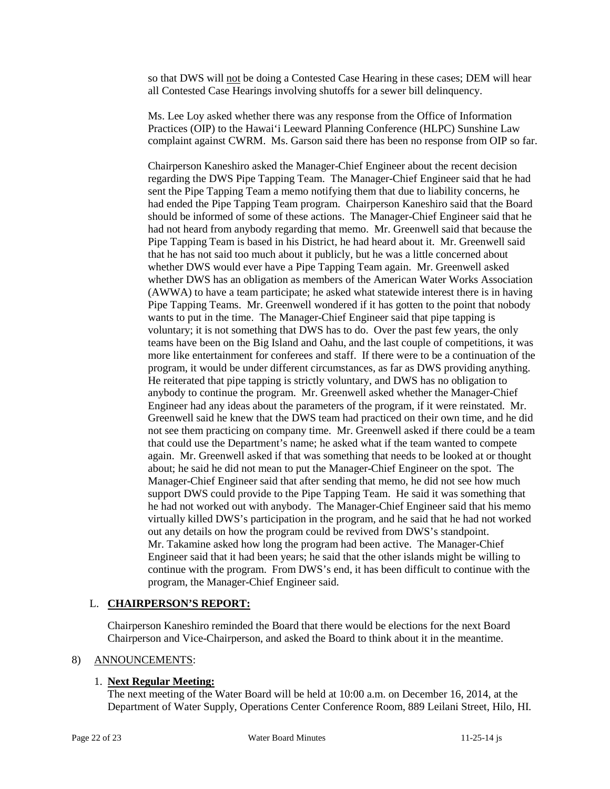so that DWS will not be doing a Contested Case Hearing in these cases; DEM will hear all Contested Case Hearings involving shutoffs for a sewer bill delinquency.

Ms. Lee Loy asked whether there was any response from the Office of Information Practices (OIP) to the Hawai'i Leeward Planning Conference (HLPC) Sunshine Law complaint against CWRM. Ms. Garson said there has been no response from OIP so far.

Chairperson Kaneshiro asked the Manager-Chief Engineer about the recent decision regarding the DWS Pipe Tapping Team. The Manager-Chief Engineer said that he had sent the Pipe Tapping Team a memo notifying them that due to liability concerns, he had ended the Pipe Tapping Team program. Chairperson Kaneshiro said that the Board should be informed of some of these actions. The Manager-Chief Engineer said that he had not heard from anybody regarding that memo. Mr. Greenwell said that because the Pipe Tapping Team is based in his District, he had heard about it. Mr. Greenwell said that he has not said too much about it publicly, but he was a little concerned about whether DWS would ever have a Pipe Tapping Team again. Mr. Greenwell asked whether DWS has an obligation as members of the American Water Works Association (AWWA) to have a team participate; he asked what statewide interest there is in having Pipe Tapping Teams. Mr. Greenwell wondered if it has gotten to the point that nobody wants to put in the time. The Manager-Chief Engineer said that pipe tapping is voluntary; it is not something that DWS has to do. Over the past few years, the only teams have been on the Big Island and Oahu, and the last couple of competitions, it was more like entertainment for conferees and staff. If there were to be a continuation of the program, it would be under different circumstances, as far as DWS providing anything. He reiterated that pipe tapping is strictly voluntary, and DWS has no obligation to anybody to continue the program. Mr. Greenwell asked whether the Manager-Chief Engineer had any ideas about the parameters of the program, if it were reinstated. Mr. Greenwell said he knew that the DWS team had practiced on their own time, and he did not see them practicing on company time. Mr. Greenwell asked if there could be a team that could use the Department's name; he asked what if the team wanted to compete again. Mr. Greenwell asked if that was something that needs to be looked at or thought about; he said he did not mean to put the Manager-Chief Engineer on the spot. The Manager-Chief Engineer said that after sending that memo, he did not see how much support DWS could provide to the Pipe Tapping Team. He said it was something that he had not worked out with anybody. The Manager-Chief Engineer said that his memo virtually killed DWS's participation in the program, and he said that he had not worked out any details on how the program could be revived from DWS's standpoint. Mr. Takamine asked how long the program had been active. The Manager-Chief Engineer said that it had been years; he said that the other islands might be willing to continue with the program. From DWS's end, it has been difficult to continue with the program, the Manager-Chief Engineer said.

### L. **CHAIRPERSON'S REPORT:**

Chairperson Kaneshiro reminded the Board that there would be elections for the next Board Chairperson and Vice-Chairperson, and asked the Board to think about it in the meantime.

### 8) ANNOUNCEMENTS:

# 1. **Next Regular Meeting:**

The next meeting of the Water Board will be held at 10:00 a.m. on December 16, 2014, at the Department of Water Supply, Operations Center Conference Room, 889 Leilani Street, Hilo, HI.